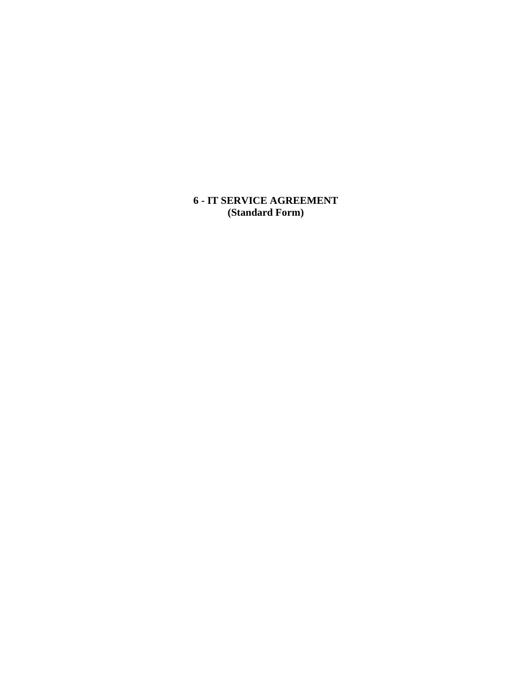**6 - IT SERVICE AGREEMENT (Standard Form)**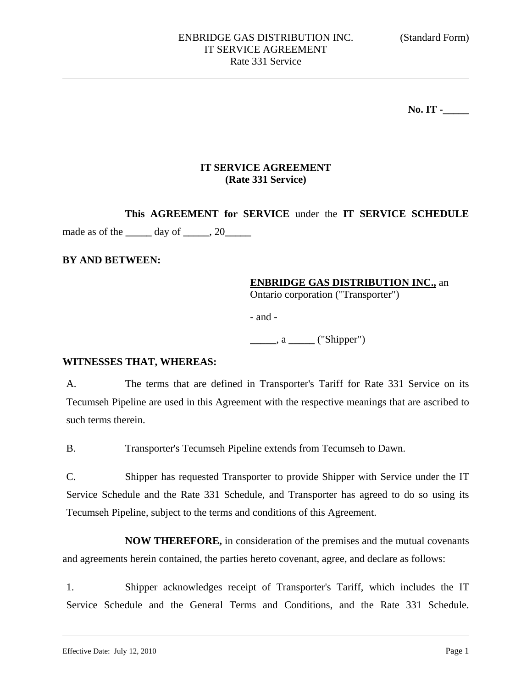**No. IT -\_\_\_\_\_** 

## **IT SERVICE AGREEMENT (Rate 331 Service)**

**This AGREEMENT for SERVICE** under the **IT SERVICE SCHEDULE**  made as of the **\_\_\_\_\_** day of **\_\_\_\_\_**, 20**\_\_\_\_\_** 

## **BY AND BETWEEN:**

## **ENBRIDGE GAS DISTRIBUTION INC.,** an

Ontario corporation ("Transporter")

- and -

**\_\_\_\_\_**, a **\_\_\_\_\_** ("Shipper")

### **WITNESSES THAT, WHEREAS:**

A. The terms that are defined in Transporter's Tariff for Rate 331 Service on its Tecumseh Pipeline are used in this Agreement with the respective meanings that are ascribed to such terms therein.

B. Transporter's Tecumseh Pipeline extends from Tecumseh to Dawn.

C. Shipper has requested Transporter to provide Shipper with Service under the IT Service Schedule and the Rate 331 Schedule, and Transporter has agreed to do so using its Tecumseh Pipeline, subject to the terms and conditions of this Agreement.

**NOW THEREFORE,** in consideration of the premises and the mutual covenants and agreements herein contained, the parties hereto covenant, agree, and declare as follows:

1. Shipper acknowledges receipt of Transporter's Tariff, which includes the IT Service Schedule and the General Terms and Conditions, and the Rate 331 Schedule.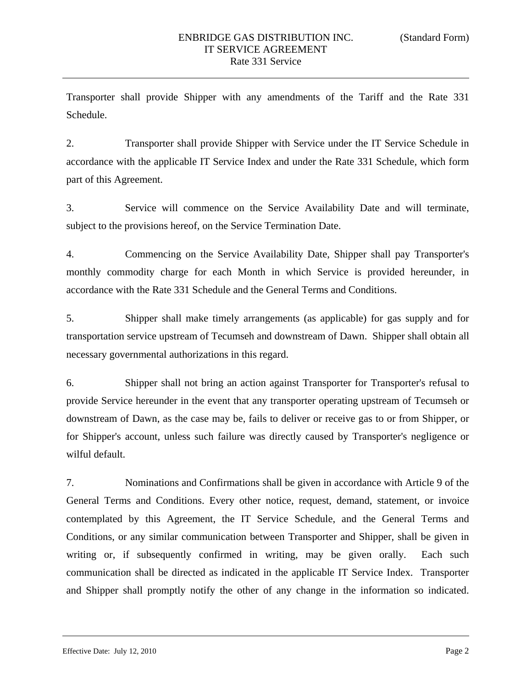Transporter shall provide Shipper with any amendments of the Tariff and the Rate 331 Schedule.

2. Transporter shall provide Shipper with Service under the IT Service Schedule in accordance with the applicable IT Service Index and under the Rate 331 Schedule, which form part of this Agreement.

3. Service will commence on the Service Availability Date and will terminate, subject to the provisions hereof, on the Service Termination Date.

4. Commencing on the Service Availability Date, Shipper shall pay Transporter's monthly commodity charge for each Month in which Service is provided hereunder, in accordance with the Rate 331 Schedule and the General Terms and Conditions.

5. Shipper shall make timely arrangements (as applicable) for gas supply and for transportation service upstream of Tecumseh and downstream of Dawn. Shipper shall obtain all necessary governmental authorizations in this regard.

6. Shipper shall not bring an action against Transporter for Transporter's refusal to provide Service hereunder in the event that any transporter operating upstream of Tecumseh or downstream of Dawn, as the case may be, fails to deliver or receive gas to or from Shipper, or for Shipper's account, unless such failure was directly caused by Transporter's negligence or wilful default.

7. Nominations and Confirmations shall be given in accordance with Article 9 of the General Terms and Conditions. Every other notice, request, demand, statement, or invoice contemplated by this Agreement, the IT Service Schedule, and the General Terms and Conditions, or any similar communication between Transporter and Shipper, shall be given in writing or, if subsequently confirmed in writing, may be given orally. Each such communication shall be directed as indicated in the applicable IT Service Index. Transporter and Shipper shall promptly notify the other of any change in the information so indicated.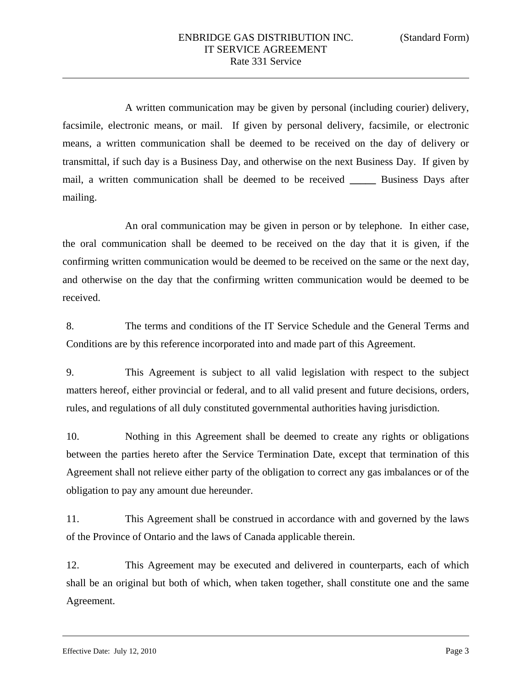A written communication may be given by personal (including courier) delivery, facsimile, electronic means, or mail. If given by personal delivery, facsimile, or electronic means, a written communication shall be deemed to be received on the day of delivery or transmittal, if such day is a Business Day, and otherwise on the next Business Day. If given by mail, a written communication shall be deemed to be received **\_\_\_\_\_** Business Days after mailing.

An oral communication may be given in person or by telephone. In either case, the oral communication shall be deemed to be received on the day that it is given, if the confirming written communication would be deemed to be received on the same or the next day, and otherwise on the day that the confirming written communication would be deemed to be received.

8. The terms and conditions of the IT Service Schedule and the General Terms and Conditions are by this reference incorporated into and made part of this Agreement.

9. This Agreement is subject to all valid legislation with respect to the subject matters hereof, either provincial or federal, and to all valid present and future decisions, orders, rules, and regulations of all duly constituted governmental authorities having jurisdiction.

10. Nothing in this Agreement shall be deemed to create any rights or obligations between the parties hereto after the Service Termination Date, except that termination of this Agreement shall not relieve either party of the obligation to correct any gas imbalances or of the obligation to pay any amount due hereunder.

11. This Agreement shall be construed in accordance with and governed by the laws of the Province of Ontario and the laws of Canada applicable therein.

12. This Agreement may be executed and delivered in counterparts, each of which shall be an original but both of which, when taken together, shall constitute one and the same Agreement.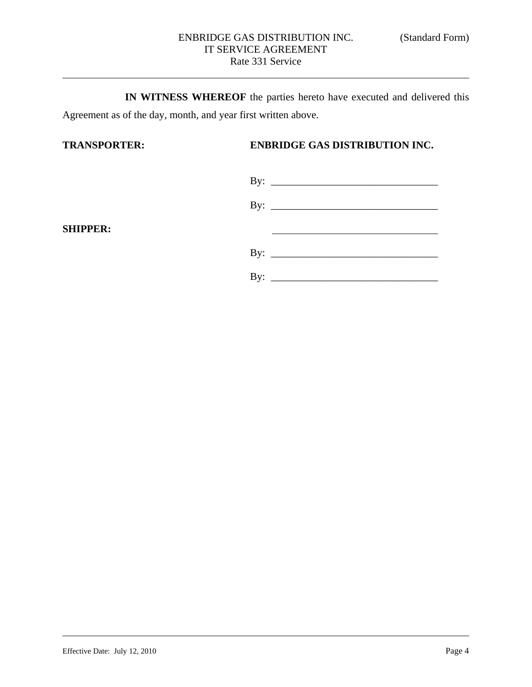**IN WITNESS WHEREOF** the parties hereto have executed and delivered this Agreement as of the day, month, and year first written above.

# **TRANSPORTER: ENBRIDGE GAS DISTRIBUTION INC.**

| By: $\qquad \qquad$ |
|---------------------|
| By: $\qquad \qquad$ |
|                     |
|                     |
| By: $\qquad \qquad$ |
|                     |
| By: $\qquad \qquad$ |

**SHIPPER:**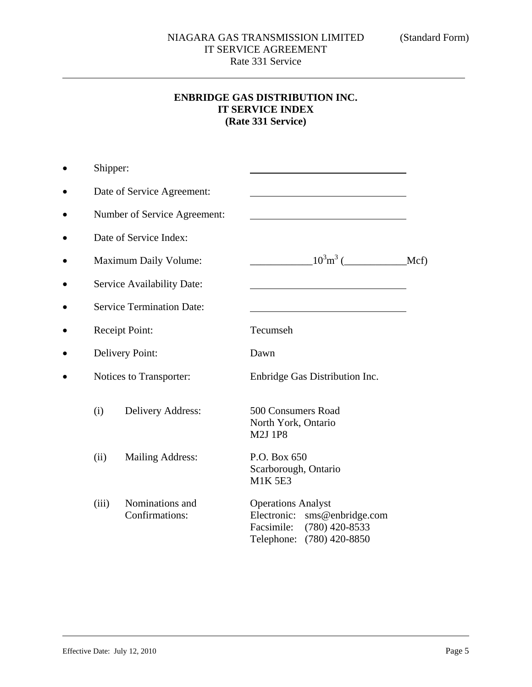# **ENBRIDGE GAS DISTRIBUTION INC. IT SERVICE INDEX (Rate 331 Service)**

| Shipper:                         |                                   |                                                                                                                             |  |
|----------------------------------|-----------------------------------|-----------------------------------------------------------------------------------------------------------------------------|--|
|                                  | Date of Service Agreement:        |                                                                                                                             |  |
|                                  | Number of Service Agreement:      |                                                                                                                             |  |
|                                  | Date of Service Index:            |                                                                                                                             |  |
| Maximum Daily Volume:            |                                   |                                                                                                                             |  |
|                                  | Service Availability Date:        |                                                                                                                             |  |
| <b>Service Termination Date:</b> |                                   |                                                                                                                             |  |
| Receipt Point:                   |                                   | Tecumseh                                                                                                                    |  |
| <b>Delivery Point:</b>           |                                   | Dawn                                                                                                                        |  |
| Notices to Transporter:          |                                   | Enbridge Gas Distribution Inc.                                                                                              |  |
| (i)                              | Delivery Address:                 | 500 Consumers Road<br>North York, Ontario<br><b>M2J 1P8</b>                                                                 |  |
| (ii)                             | <b>Mailing Address:</b>           | P.O. Box 650<br>Scarborough, Ontario<br><b>M1K5E3</b>                                                                       |  |
| (iii)                            | Nominations and<br>Confirmations: | <b>Operations Analyst</b><br>sms@enbridge.com<br>Electronic:<br>$(780)$ 420-8533<br>Facsimile:<br>Telephone: (780) 420-8850 |  |